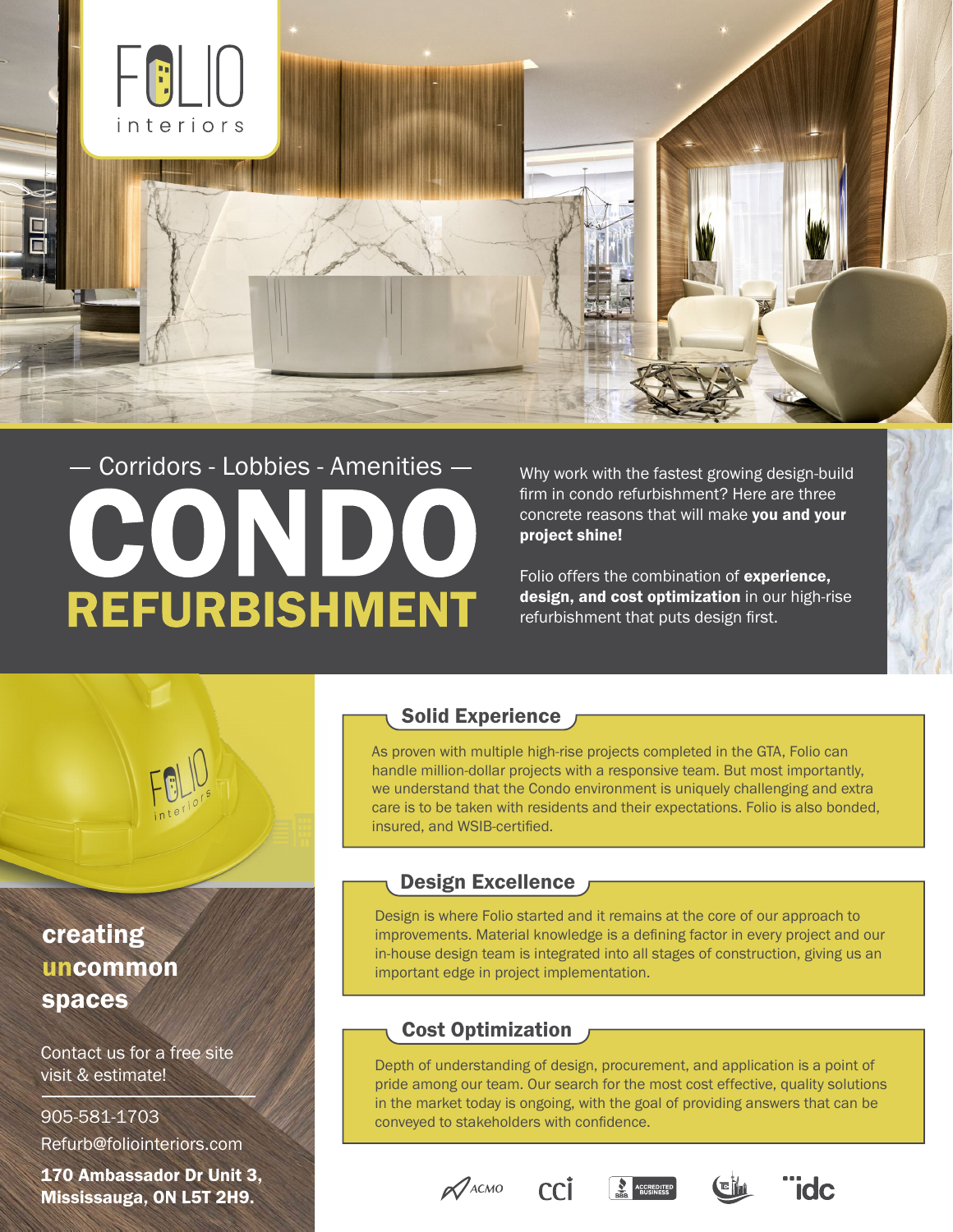

# Corridors - Lobbies - AmenitiesCON **REFURBISHMENT**

Why work with the fastest growing design-build firm in condo refurbishment? Here are three concrete reasons that will make you and your project shine!

Folio offers the combination of experience, design, and cost optimization in our high-rise refurbishment that puts design first.



# creating uncommon spaces

Contact us for a free site visit & estimate!

### Refurb@foliointeriors.com 905-581-1703

170 Ambassador Dr Unit 3, Mississauga, ON L5T 2H9.

#### Solid Experience

As proven with multiple high-rise projects completed in the GTA, Folio can handle million-dollar projects with a responsive team. But most importantly, we understand that the Condo environment is uniquely challenging and extra care is to be taken with residents and their expectations. Folio is also bonded, insured, and WSIB-certified.

#### Design Excellence

Design is where Folio started and it remains at the core of our approach to improvements. Material knowledge is a defining factor in every project and our in-house design team is integrated into all stages of construction, giving us an important edge in project implementation.

## Cost Optimization

Depth of understanding of design, procurement, and application is a point of pride among our team. Our search for the most cost effective, quality solutions in the market today is ongoing, with the goal of providing answers that can be conveyed to stakeholders with confidence.